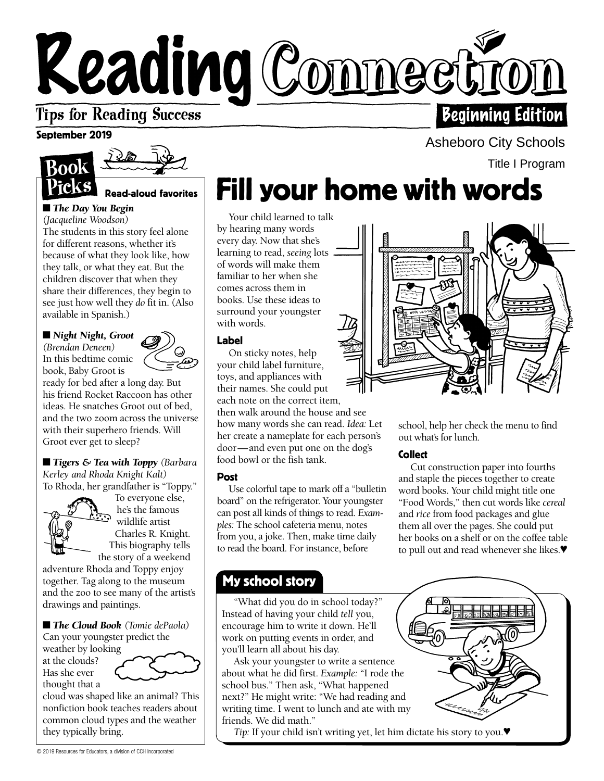# Reading Connecti **Tips for Reading Success Beginning Edition**

### September 2019



Read-aloud favorites

### ■ *The Day You Begin*

*(Jacqueline Woodson)*  The students in this story feel alone for different reasons, whether it's because of what they look like, how they talk, or what they eat. But the children discover that when they share their differences, they begin to see just how well they *do* fit in. (Also available in Spanish.)

■ *Night Night, Groot (Brendan Deneen)*  In this bedtime comic book, Baby Groot is



ready for bed after a long day. But his friend Rocket Raccoon has other ideas. He snatches Groot out of bed, and the two zoom across the universe with their superhero friends. Will Groot ever get to sleep?

■ *Tigers & Tea with Toppy (Barbara Kerley and Rhoda Knight Kalt)*  To Rhoda, her grandfather is "Toppy."



To everyone else, he's the famous wildlife artist Charles R. Knight. This biography tells the story of a weekend

adventure Rhoda and Toppy enjoy together. Tag along to the museum and the zoo to see many of the artist's drawings and paintings.

■ **The Cloud Book** (Tomie dePaola)

Can your youngster predict the weather by looking at the clouds? Has she ever thought that a

cloud was shaped like an animal? This nonfiction book teaches readers about common cloud types and the weather they typically bring.

# Fill your home with words

Your child learned to talk by hearing many words every day. Now that she's learning to read, *seeing* lots of words will make them familiar to her when she comes across them in books. Use these ideas to surround your youngster with words.

### Label

On sticky notes, help your child label furniture, toys, and appliances with their names. She could put each note on the correct item, then walk around the house and see how many words she can read. *Idea:* Let her create a nameplate for each person's door—and even put one on the dog's food bowl or the fish tank.

### Post

Use colorful tape to mark off a "bulletin board" on the refrigerator. Your youngster can post all kinds of things to read. *Examples:* The school cafeteria menu, notes from you, a joke. Then, make time daily to read the board. For instance, before

### My school story

w "What did you do in school today?" Instead of having your child *tell* you, encourage him to write it down. He'll work on putting events in order, and you'll learn all about his day.

Ask your youngster to write a sentence about what he did first. *Example:* "I rode the school bus." Then ask, "What happened next?" He might write: "We had reading and writing time. I went to lunch and ate with my friends. We did math."

*Tip:* If your child isn't writing yet, let him dictate his story to you.♥

Asheboro City Schools

Title I Program

school, help her check the menu to find out what's for lunch.

### **Collect**

Cut construction paper into fourths and staple the pieces together to create word books. Your child might title one "Food Words," then cut words like *cereal*  and *rice* from food packages and glue them all over the pages. She could put her books on a shelf or on the coffee table to pull out and read whenever she likes.♥